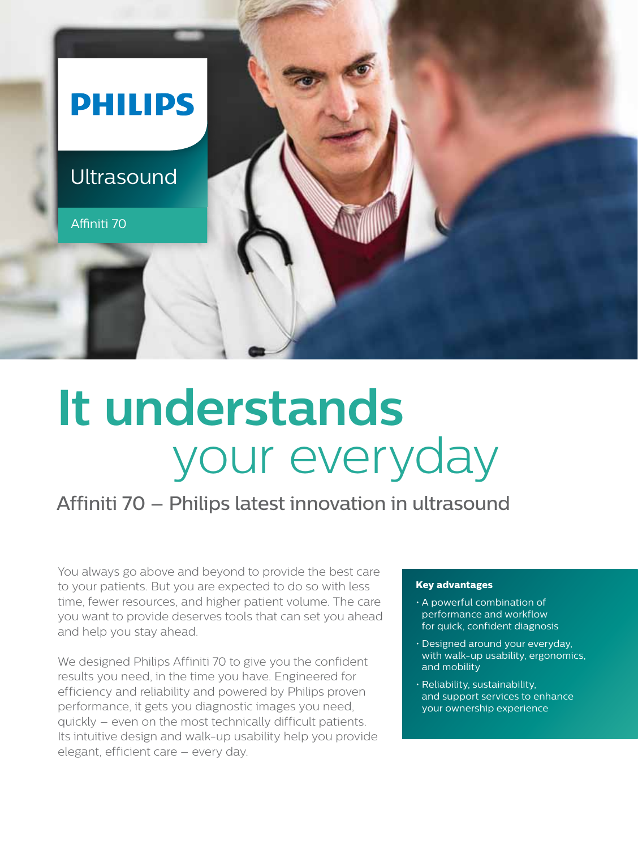

# **It understands** your everyday

## Affiniti 70 – Philips latest innovation in ultrasound

You always go above and beyond to provide the best care to your patients. But you are expected to do so with less time, fewer resources, and higher patient volume. The care you want to provide deserves tools that can set you ahead and help you stay ahead.

We designed Philips Affiniti 70 to give you the confident results you need, in the time you have. Engineered for efficiency and reliability and powered by Philips proven performance, it gets you diagnostic images you need, quickly – even on the most technically difficult patients. Its intuitive design and walk-up usability help you provide elegant, efficient care – every day.

#### **Key advantages**

- • A powerful combination of performance and workflow for quick, confident diagnosis
- Designed around your everyday, with walk-up usability, ergonomics, and mobility
- $\cdot$  Reliability, sustainability, and support services to enhance your ownership experience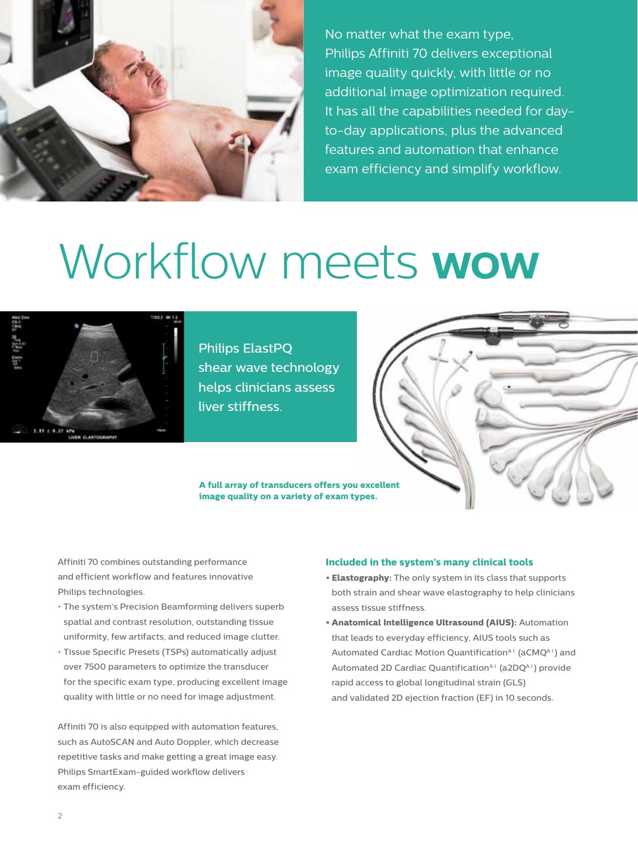

No matter what the exam type, Philips Affiniti 70 delivers exceptional image quality quickly, with little or no additional image optimization required. It has all the capabilities needed for dayto-day applications, plus the advanced features and automation that enhance exam efficiency and simplify workflow.

# Workflow meets **wow**



Philips ElastPQ shear wave technology helps clinicians assess liver stiffness.

**A full array of transducers offers you excellent image quality on a variety of exam types.**

Affiniti 70 combines outstanding performance and efficient workflow and features innovative Philips technologies.

- The system's Precision Beamforming delivers superb spatial and contrast resolution, outstanding tissue uniformity, few artifacts, and reduced image clutter.
- • Tissue Specific Presets (TSPs) automatically adjust over 7500 parameters to optimize the transducer for the specific exam type, producing excellent image quality with little or no need for image adjustment.

Affiniti 70 is also equipped with automation features, such as AutoSCAN and Auto Doppler, which decrease repetitive tasks and make getting a great image easy. Philips SmartExam-guided workflow delivers exam efficiency.

#### **Included in the system's many clinical tools**

- **Elastography:** The only system in its class that supports both strain and shear wave elastography to help clinicians assess tissue stiffness.
- **• Anatomical Intelligence Ultrasound (AIUS):** Automation that leads to everyday efficiency, AIUS tools such as Automated Cardiac Motion Quantification<sup>A.I.</sup> (aCMQA.I.) and Automated 2D Cardiac Quantification<sup>A.I.</sup> (a2DQA.I.) provide rapid access to global longitudinal strain (GLS) and validated 2D ejection fraction (EF) in 10 seconds.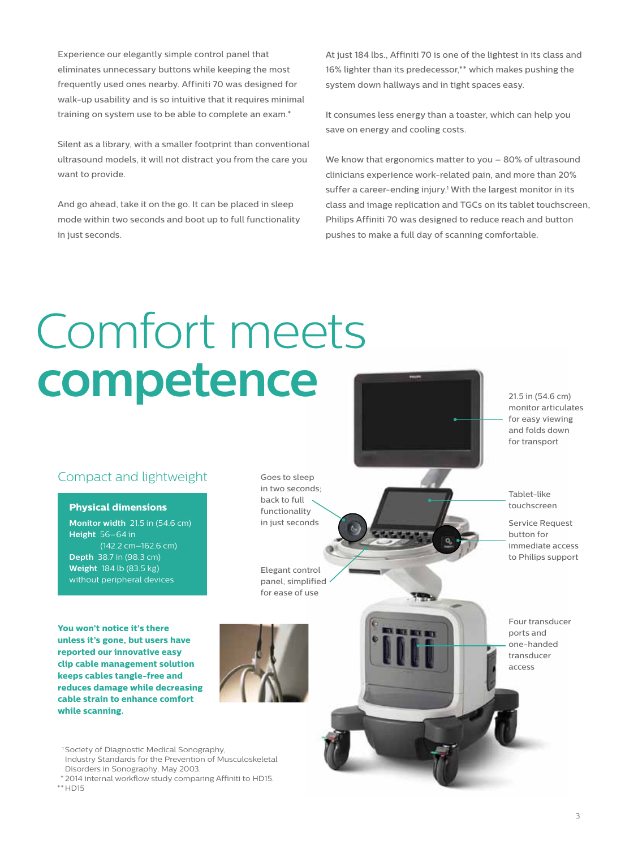Experience our elegantly simple control panel that eliminates unnecessary buttons while keeping the most frequently used ones nearby. Affiniti 70 was designed for walk-up usability and is so intuitive that it requires minimal training on system use to be able to complete an exam.\*

Silent as a library, with a smaller footprint than conventional ultrasound models, it will not distract you from the care you want to provide.

And go ahead, take it on the go. It can be placed in sleep mode within two seconds and boot up to full functionality in just seconds.

At just 184 lbs., Affiniti 70 is one of the lightest in its class and 16% lighter than its predecessor,\*\* which makes pushing the system down hallways and in tight spaces easy.

It consumes less energy than a toaster, which can help you save on energy and cooling costs.

We know that ergonomics matter to you – 80% of ultrasound clinicians experience work-related pain, and more than 20% suffer a career-ending injury.<sup>1</sup> With the largest monitor in its class and image replication and TGCs on its tablet touchscreen, Philips Affiniti 70 was designed to reduce reach and button pushes to make a full day of scanning comfortable.

# Comfort meets **competence**

### Compact and lightweight

#### **Physical dimensions**

**Monitor width** 21.5 in (54.6 cm) **Height** 56–64 in (142.2 cm–162.6 cm) **Depth** 38.7 in (98.3 cm) **Weight** 184 lb (83.5 kg) without peripheral devices

**You won't notice it's there unless it's gone, but users have reported our innovative easy clip cable management solution keeps cables tangle-free and reduces damage while decreasing cable strain to enhance comfort while scanning.**

Goes to sleep in two seconds; back to full functionality in just seconds

Elegant control panel, simplified for ease of use



<sup>1</sup> Society of Diagnostic Medical Sonography, Industry Standards for the Prevention of Musculoskeletal Disorders in Sonography, May 2003.

 \* 2014 internal workflow study comparing Affiniti to HD15.  $**$  HD15

monitor articulates for easy viewing and folds down for transport

21.5 in (54.6 cm)

Tablet-like touchscreen

Service Request button for immediate access to Philips support

Four transducer ports and one-handed transducer access